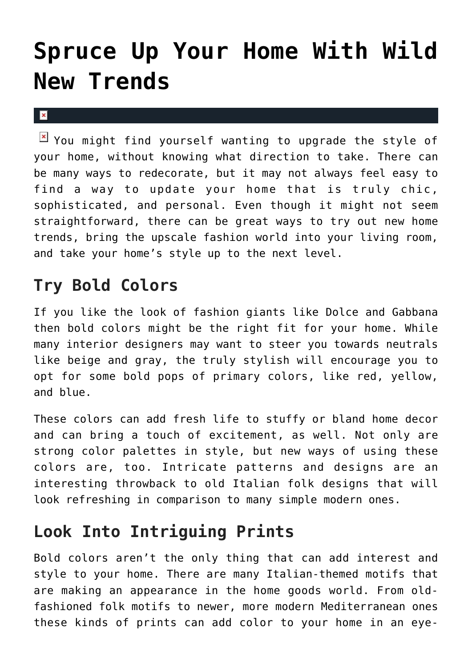# **[Spruce Up Your Home With Wild](https://cupidspulse.com/136588/spruce-up-your-home-with-wild-new-trends/) [New Trends](https://cupidspulse.com/136588/spruce-up-your-home-with-wild-new-trends/)**

 $\mathbf x$ 

 $\boxed{\times}$  You might find yourself wanting to upgrade the style of your home, without knowing what direction to take. There can be many ways to redecorate, but it may not always feel easy to find a way to update your home that is truly chic, sophisticated, and personal. Even though it might not seem straightforward, there can be great ways to try out new home trends, bring the upscale fashion world into your living room, and take your home's style up to the next level.

## **Try Bold Colors**

If you like the look of fashion giants like Dolce and Gabbana then bold colors might be the right fit for your home. While many interior designers may want to steer you towards neutrals like beige and gray, the truly stylish will encourage you to opt for some bold pops of primary colors, like red, yellow, and blue.

These colors can add fresh life to stuffy or bland home decor and can bring a touch of excitement, as well. Not only are strong color palettes in style, but new ways of using these colors are, too. Intricate patterns and designs are an interesting throwback to old Italian folk designs that will look refreshing in comparison to many simple modern ones.

# **Look Into Intriguing Prints**

Bold colors aren't the only thing that can add interest and style to your home. There are many Italian-themed motifs that are making an appearance in the home goods world. From oldfashioned folk motifs to newer, more modern Mediterranean ones these kinds of prints can add color to your home in an eye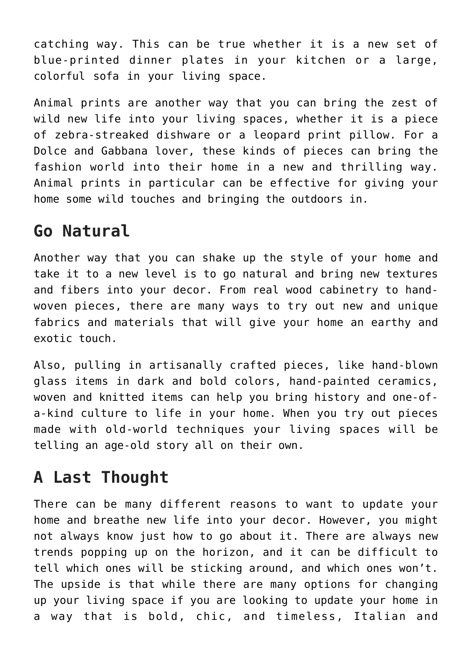catching way. This can be true whether it is a new set of blue-printed dinner plates in your kitchen or a large, colorful sofa in your living space.

Animal prints are another way that you can bring the zest of wild new life into your living spaces, whether it is a piece of zebra-streaked dishware or a leopard print pillow. For a Dolce and Gabbana lover, these kinds of pieces can bring the fashion world into their home in a new and thrilling way. Animal prints in particular can be effective for giving your home some wild touches and bringing the outdoors in.

#### **Go Natural**

Another way that you can shake up the style of your home and take it to a new level is to go natural and bring new textures and fibers into your decor. From real wood cabinetry to handwoven pieces, there are many ways to try out new and unique fabrics and materials that will give your home an earthy and exotic touch.

Also, pulling in artisanally crafted pieces, like hand-blown glass items in dark and bold colors, hand-painted ceramics, woven and knitted items can help you bring history and one-ofa-kind culture to life in your home. When you try out pieces made with old-world techniques your living spaces will be telling an age-old story all on their own.

## **A Last Thought**

There can be many different reasons to want to update your home and breathe new life into your decor. However, you might not always know just how to go about it. There are always new trends popping up on the horizon, and it can be difficult to tell which ones will be sticking around, and which ones won't. The upside is that while there are many options for changing up your living space if you are looking to update your home in a way that is bold, chic, and timeless, Italian and